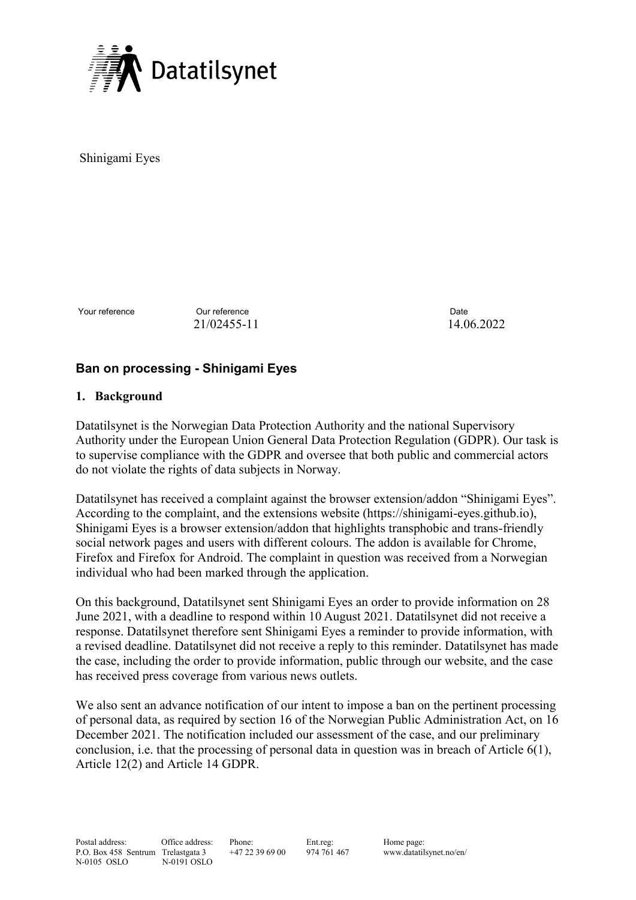

Shinigami Eyes

Your reference **Our reference Our reference Date Date** 21/02455-11 14.06.2022

# **Ban on processing - Shinigami Eyes**

## **1. Background**

Datatilsynet is the Norwegian Data Protection Authority and the national Supervisory Authority under the European Union General Data Protection Regulation (GDPR). Our task is to supervise compliance with the GDPR and oversee that both public and commercial actors do not violate the rights of data subjects in Norway.

Datatilsynet has received a complaint against the browser extension/addon "Shinigami Eyes". According to the complaint, and the extensions website (https://shinigami-eyes.github.io), Shinigami Eyes is a browser extension/addon that highlights transphobic and trans-friendly social network pages and users with different colours. The addon is available for Chrome, Firefox and Firefox for Android. The complaint in question was received from a Norwegian individual who had been marked through the application.

On this background, Datatilsynet sent Shinigami Eyes an order to provide information on 28 June 2021, with a deadline to respond within 10 August 2021. Datatilsynet did not receive a response. Datatilsynet therefore sent Shinigami Eyes a reminder to provide information, with a revised deadline. Datatilsynet did not receive a reply to this reminder. Datatilsynet has made the case, including the order to provide information, public through our website, and the case has received press coverage from various news outlets.

We also sent an advance notification of our intent to impose a ban on the pertinent processing of personal data, as required by section 16 of the Norwegian Public Administration Act, on 16 December 2021. The notification included our assessment of the case, and our preliminary conclusion, i.e. that the processing of personal data in question was in breach of Article 6(1), Article 12(2) and Article 14 GDPR.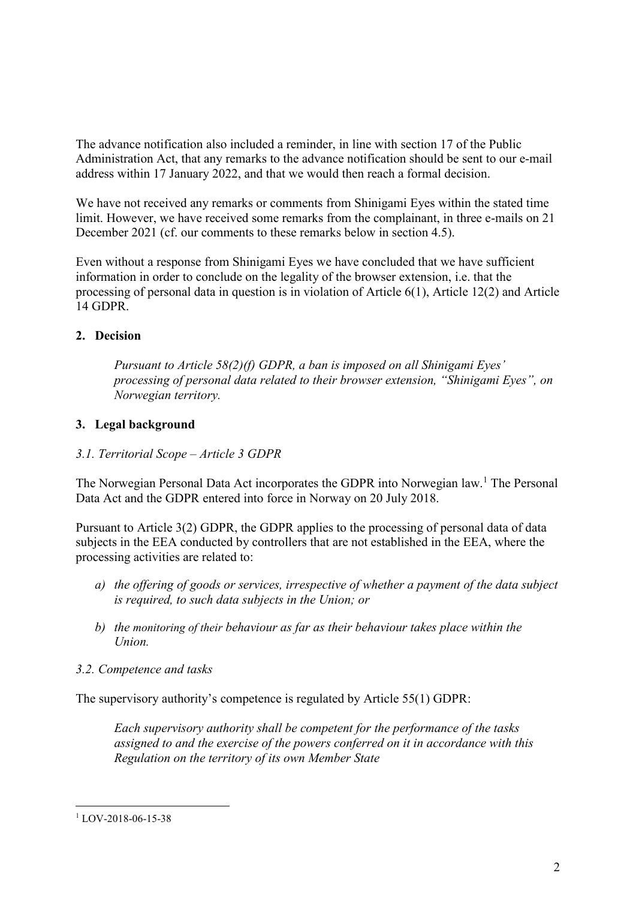The advance notification also included a reminder, in line with section 17 of the Public Administration Act, that any remarks to the advance notification should be sent to our e-mail address within 17 January 2022, and that we would then reach a formal decision.

We have not received any remarks or comments from Shinigami Eyes within the stated time limit. However, we have received some remarks from the complainant, in three e-mails on 21 December 2021 (cf. our comments to these remarks below in section 4.5).

Even without a response from Shinigami Eyes we have concluded that we have sufficient information in order to conclude on the legality of the browser extension, i.e. that the processing of personal data in question is in violation of Article 6(1), Article 12(2) and Article 14 GDPR.

## **2. Decision**

*Pursuant to Article 58(2)(f) GDPR, a ban is imposed on all Shinigami Eyes' processing of personal data related to their browser extension, "Shinigami Eyes", on Norwegian territory.*

## **3. Legal background**

## *3.1. Territorial Scope – Article 3 GDPR*

The Norwegian Personal Data Act incorporates the GDPR into Norwegian law.<sup>1</sup> The Personal Data Act and the GDPR entered into force in Norway on 20 July 2018.

Pursuant to Article 3(2) GDPR, the GDPR applies to the processing of personal data of data subjects in the EEA conducted by controllers that are not established in the EEA, where the processing activities are related to:

- *a) the offering of goods or services, irrespective of whether a payment of the data subject is required, to such data subjects in the Union; or*
- *b) the monitoring of their behaviour as far as their behaviour takes place within the Union.*
- *3.2. Competence and tasks*

The supervisory authority's competence is regulated by Article 55(1) GDPR:

*Each supervisory authority shall be competent for the performance of the tasks assigned to and the exercise of the powers conferred on it in accordance with this Regulation on the territory of its own Member State*

<sup>1</sup> LOV-2018-06-15-38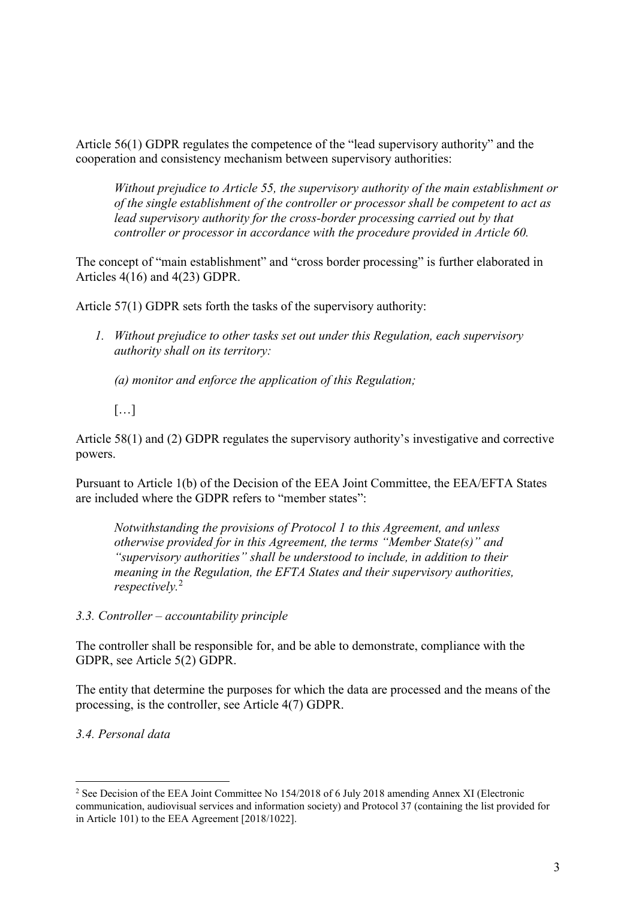Article 56(1) GDPR regulates the competence of the "lead supervisory authority" and the cooperation and consistency mechanism between supervisory authorities:

*Without prejudice to Article 55, the supervisory authority of the main establishment or of the single establishment of the controller or processor shall be competent to act as lead supervisory authority for the cross-border processing carried out by that controller or processor in accordance with the procedure provided in Article 60.*

The concept of "main establishment" and "cross border processing" is further elaborated in Articles 4(16) and 4(23) GDPR.

Article 57(1) GDPR sets forth the tasks of the supervisory authority:

*1. Without prejudice to other tasks set out under this Regulation, each supervisory authority shall on its territory:*

*(a) monitor and enforce the application of this Regulation;*

 $[...]$ 

Article 58(1) and (2) GDPR regulates the supervisory authority's investigative and corrective powers.

Pursuant to Article 1(b) of the Decision of the EEA Joint Committee, the EEA/EFTA States are included where the GDPR refers to "member states":

*Notwithstanding the provisions of Protocol 1 to this Agreement, and unless otherwise provided for in this Agreement, the terms "Member State(s)" and "supervisory authorities" shall be understood to include, in addition to their meaning in the Regulation, the EFTA States and their supervisory authorities, respectively.*<sup>2</sup>

*3.3. Controller – accountability principle* 

The controller shall be responsible for, and be able to demonstrate, compliance with the GDPR, see Article 5(2) GDPR.

The entity that determine the purposes for which the data are processed and the means of the processing, is the controller, see Article 4(7) GDPR.

*3.4. Personal data*

<sup>&</sup>lt;sup>2</sup> See Decision of the EEA Joint Committee No 154/2018 of 6 July 2018 amending Annex XI (Electronic communication, audiovisual services and information society) and Protocol 37 (containing the list provided for in Article 101) to the EEA Agreement [2018/1022].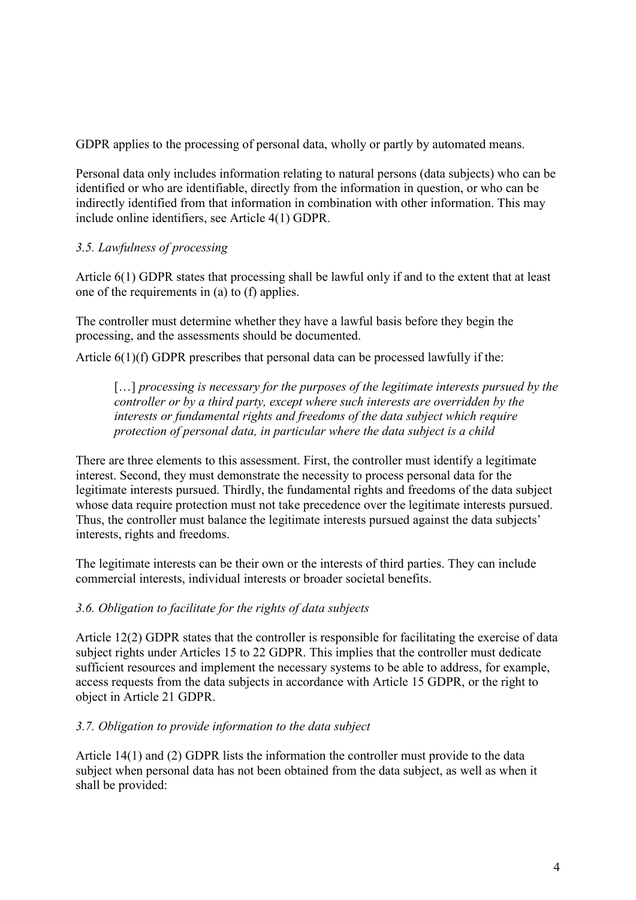GDPR applies to the processing of personal data, wholly or partly by automated means.

Personal data only includes information relating to natural persons (data subjects) who can be identified or who are identifiable, directly from the information in question, or who can be indirectly identified from that information in combination with other information. This may include online identifiers, see Article 4(1) GDPR.

## *3.5. Lawfulness of processing*

Article 6(1) GDPR states that processing shall be lawful only if and to the extent that at least one of the requirements in (a) to (f) applies.

The controller must determine whether they have a lawful basis before they begin the processing, and the assessments should be documented.

Article 6(1)(f) GDPR prescribes that personal data can be processed lawfully if the:

[...] *processing is necessary for the purposes of the legitimate interests pursued by the controller or by a third party, except where such interests are overridden by the interests or fundamental rights and freedoms of the data subject which require protection of personal data, in particular where the data subject is a child*

There are three elements to this assessment. First, the controller must identify a legitimate interest. Second, they must demonstrate the necessity to process personal data for the legitimate interests pursued. Thirdly, the fundamental rights and freedoms of the data subject whose data require protection must not take precedence over the legitimate interests pursued. Thus, the controller must balance the legitimate interests pursued against the data subjects' interests, rights and freedoms.

The legitimate interests can be their own or the interests of third parties. They can include commercial interests, individual interests or broader societal benefits.

#### *3.6. Obligation to facilitate for the rights of data subjects*

Article 12(2) GDPR states that the controller is responsible for facilitating the exercise of data subject rights under Articles 15 to 22 GDPR. This implies that the controller must dedicate sufficient resources and implement the necessary systems to be able to address, for example, access requests from the data subjects in accordance with Article 15 GDPR, or the right to object in Article 21 GDPR.

#### *3.7. Obligation to provide information to the data subject*

Article 14(1) and (2) GDPR lists the information the controller must provide to the data subject when personal data has not been obtained from the data subject, as well as when it shall be provided: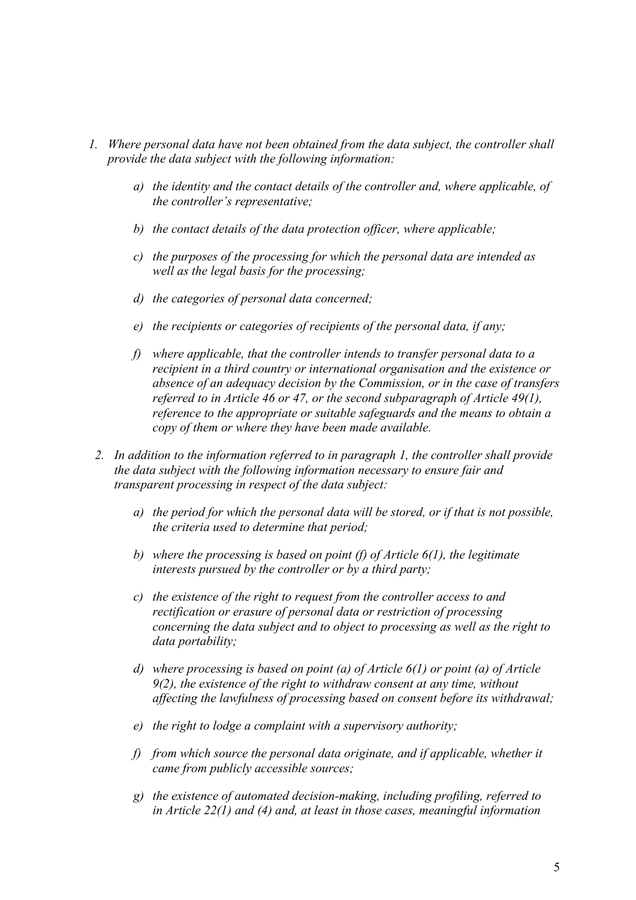- *1. Where personal data have not been obtained from the data subject, the controller shall provide the data subject with the following information:*
	- *a) the identity and the contact details of the controller and, where applicable, of the controller's representative;*
	- *b) the contact details of the data protection officer, where applicable;*
	- *c) the purposes of the processing for which the personal data are intended as well as the legal basis for the processing;*
	- *d) the categories of personal data concerned;*
	- *e) the recipients or categories of recipients of the personal data, if any;*
	- *f) where applicable, that the controller intends to transfer personal data to a recipient in a third country or international organisation and the existence or absence of an adequacy decision by the Commission, or in the case of transfers referred to in Article 46 or 47, or the second subparagraph of Article 49(1), reference to the appropriate or suitable safeguards and the means to obtain a copy of them or where they have been made available.*
	- *2. In addition to the information referred to in paragraph 1, the controller shall provide the data subject with the following information necessary to ensure fair and transparent processing in respect of the data subject:*
		- *a) the period for which the personal data will be stored, or if that is not possible, the criteria used to determine that period;*
		- *b) where the processing is based on point (f) of Article 6(1), the legitimate interests pursued by the controller or by a third party;*
		- *c) the existence of the right to request from the controller access to and rectification or erasure of personal data or restriction of processing concerning the data subject and to object to processing as well as the right to data portability;*
		- *d) where processing is based on point (a) of Article 6(1) or point (a) of Article 9(2), the existence of the right to withdraw consent at any time, without affecting the lawfulness of processing based on consent before its withdrawal;*
		- *e) the right to lodge a complaint with a supervisory authority;*
		- *f) from which source the personal data originate, and if applicable, whether it came from publicly accessible sources;*
		- *g) the existence of automated decision-making, including profiling, referred to in Article 22(1) and (4) and, at least in those cases, meaningful information*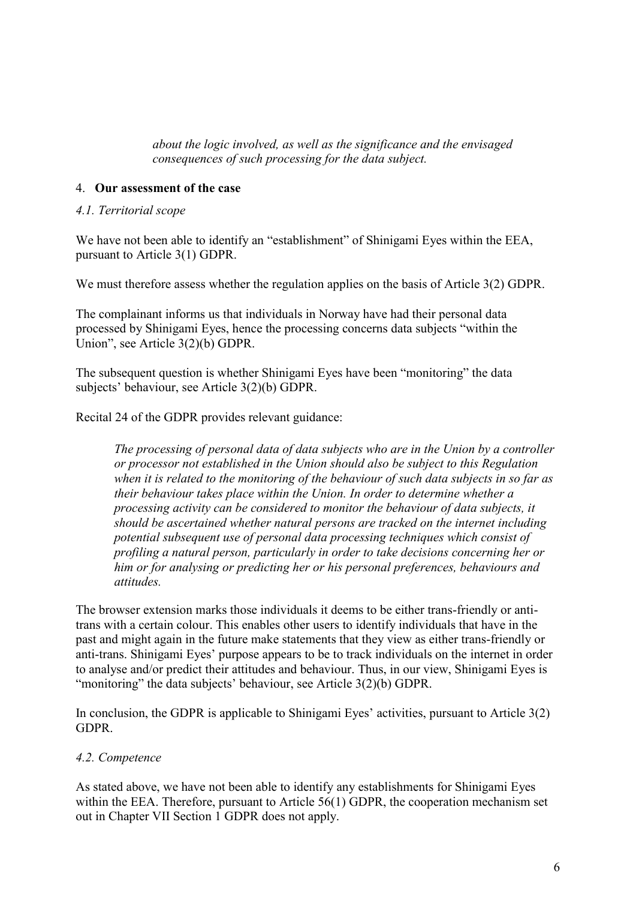*about the logic involved, as well as the significance and the envisaged consequences of such processing for the data subject.*

#### 4. **Our assessment of the case**

#### *4.1. Territorial scope*

We have not been able to identify an "establishment" of Shinigami Eyes within the EEA, pursuant to Article 3(1) GDPR.

We must therefore assess whether the regulation applies on the basis of Article 3(2) GDPR.

The complainant informs us that individuals in Norway have had their personal data processed by Shinigami Eyes, hence the processing concerns data subjects "within the Union", see Article 3(2)(b) GDPR.

The subsequent question is whether Shinigami Eyes have been "monitoring" the data subjects' behaviour, see Article 3(2)(b) GDPR.

Recital 24 of the GDPR provides relevant guidance:

*The processing of personal data of data subjects who are in the Union by a controller or processor not established in the Union should also be subject to this Regulation when it is related to the monitoring of the behaviour of such data subjects in so far as their behaviour takes place within the Union. In order to determine whether a processing activity can be considered to monitor the behaviour of data subjects, it should be ascertained whether natural persons are tracked on the internet including potential subsequent use of personal data processing techniques which consist of profiling a natural person, particularly in order to take decisions concerning her or him or for analysing or predicting her or his personal preferences, behaviours and attitudes.*

The browser extension marks those individuals it deems to be either trans-friendly or antitrans with a certain colour. This enables other users to identify individuals that have in the past and might again in the future make statements that they view as either trans-friendly or anti-trans. Shinigami Eyes' purpose appears to be to track individuals on the internet in order to analyse and/or predict their attitudes and behaviour. Thus, in our view, Shinigami Eyes is "monitoring" the data subjects' behaviour, see Article 3(2)(b) GDPR.

In conclusion, the GDPR is applicable to Shinigami Eyes' activities, pursuant to Article 3(2) GDPR.

## *4.2. Competence*

As stated above, we have not been able to identify any establishments for Shinigami Eyes within the EEA. Therefore, pursuant to Article 56(1) GDPR, the cooperation mechanism set out in Chapter VII Section 1 GDPR does not apply.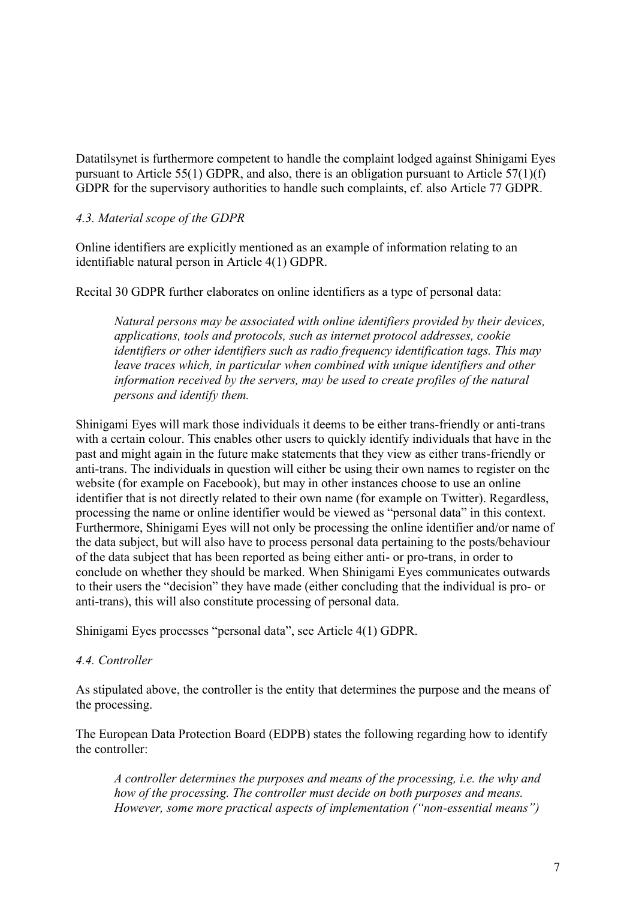Datatilsynet is furthermore competent to handle the complaint lodged against Shinigami Eyes pursuant to Article 55(1) GDPR, and also, there is an obligation pursuant to Article 57(1)(f) GDPR for the supervisory authorities to handle such complaints, cf. also Article 77 GDPR.

#### *4.3. Material scope of the GDPR*

Online identifiers are explicitly mentioned as an example of information relating to an identifiable natural person in Article 4(1) GDPR.

Recital 30 GDPR further elaborates on online identifiers as a type of personal data:

*Natural persons may be associated with online identifiers provided by their devices, applications, tools and protocols, such as internet protocol addresses, cookie identifiers or other identifiers such as radio frequency identification tags. This may leave traces which, in particular when combined with unique identifiers and other information received by the servers, may be used to create profiles of the natural persons and identify them.*

Shinigami Eyes will mark those individuals it deems to be either trans-friendly or anti-trans with a certain colour. This enables other users to quickly identify individuals that have in the past and might again in the future make statements that they view as either trans-friendly or anti-trans. The individuals in question will either be using their own names to register on the website (for example on Facebook), but may in other instances choose to use an online identifier that is not directly related to their own name (for example on Twitter). Regardless, processing the name or online identifier would be viewed as "personal data" in this context. Furthermore, Shinigami Eyes will not only be processing the online identifier and/or name of the data subject, but will also have to process personal data pertaining to the posts/behaviour of the data subject that has been reported as being either anti- or pro-trans, in order to conclude on whether they should be marked. When Shinigami Eyes communicates outwards to their users the "decision" they have made (either concluding that the individual is pro- or anti-trans), this will also constitute processing of personal data.

Shinigami Eyes processes "personal data", see Article 4(1) GDPR.

#### *4.4. Controller*

As stipulated above, the controller is the entity that determines the purpose and the means of the processing.

The European Data Protection Board (EDPB) states the following regarding how to identify the controller:

*A controller determines the purposes and means of the processing, i.e. the why and how of the processing. The controller must decide on both purposes and means. However, some more practical aspects of implementation ("non-essential means")*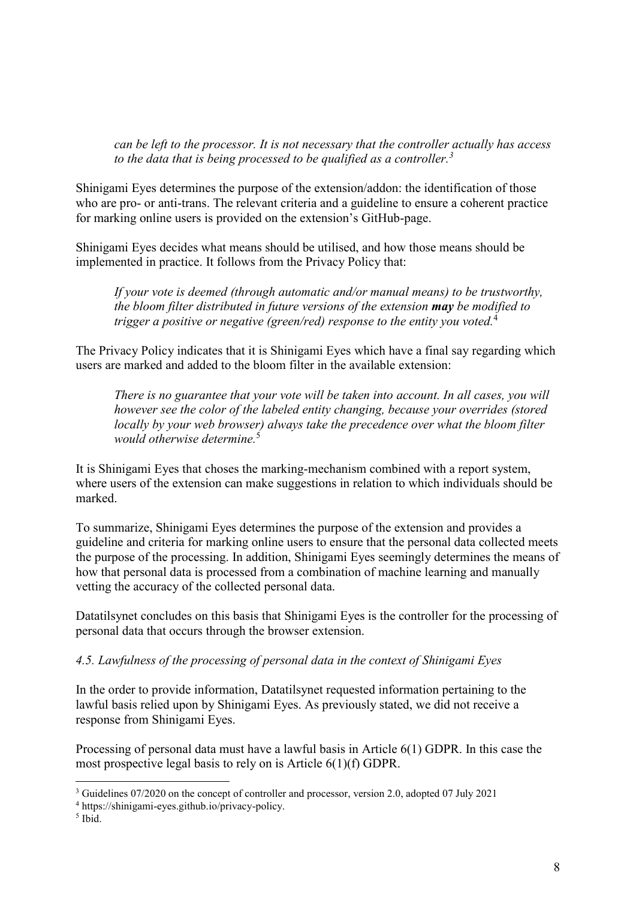*can be left to the processor. It is not necessary that the controller actually has access to the data that is being processed to be qualified as a controller.<sup>3</sup>*

Shinigami Eyes determines the purpose of the extension/addon: the identification of those who are pro- or anti-trans. The relevant criteria and a guideline to ensure a coherent practice for marking online users is provided on the extension's GitHub-page.

Shinigami Eyes decides what means should be utilised, and how those means should be implemented in practice. It follows from the Privacy Policy that:

*If your vote is deemed (through automatic and/or manual means) to be trustworthy, the bloom filter distributed in future versions of the extension may be modified to trigger a positive or negative (green/red) response to the entity you voted.*<sup>4</sup>

The Privacy Policy indicates that it is Shinigami Eyes which have a final say regarding which users are marked and added to the bloom filter in the available extension:

*There is no guarantee that your vote will be taken into account. In all cases, you will however see the color of the labeled entity changing, because your overrides (stored locally by your web browser) always take the precedence over what the bloom filter would otherwise determine.*<sup>5</sup>

It is Shinigami Eyes that choses the marking-mechanism combined with a report system, where users of the extension can make suggestions in relation to which individuals should be marked.

To summarize, Shinigami Eyes determines the purpose of the extension and provides a guideline and criteria for marking online users to ensure that the personal data collected meets the purpose of the processing. In addition, Shinigami Eyes seemingly determines the means of how that personal data is processed from a combination of machine learning and manually vetting the accuracy of the collected personal data.

Datatilsynet concludes on this basis that Shinigami Eyes is the controller for the processing of personal data that occurs through the browser extension.

## *4.5. Lawfulness of the processing of personal data in the context of Shinigami Eyes*

In the order to provide information, Datatilsynet requested information pertaining to the lawful basis relied upon by Shinigami Eyes. As previously stated, we did not receive a response from Shinigami Eyes.

Processing of personal data must have a lawful basis in Article 6(1) GDPR. In this case the most prospective legal basis to rely on is Article 6(1)(f) GDPR.

<sup>3</sup> Guidelines 07/2020 on the concept of controller and processor, version 2.0, adopted 07 July 2021

<sup>4</sup> https://shinigami-eyes.github.io/privacy-policy.

<sup>5</sup> Ibid.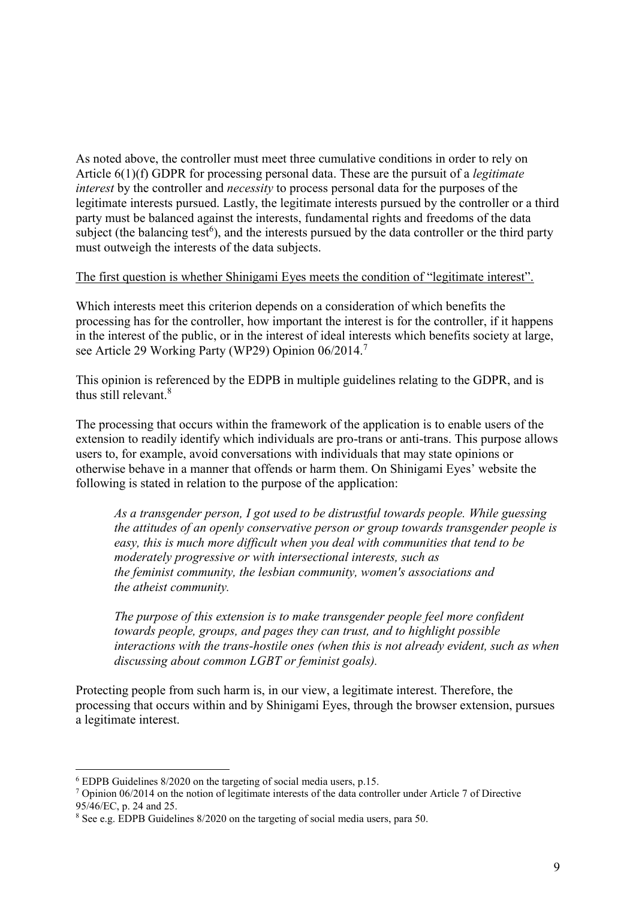As noted above, the controller must meet three cumulative conditions in order to rely on Article 6(1)(f) GDPR for processing personal data. These are the pursuit of a *legitimate interest* by the controller and *necessity* to process personal data for the purposes of the legitimate interests pursued. Lastly, the legitimate interests pursued by the controller or a third party must be balanced against the interests, fundamental rights and freedoms of the data subject (the balancing test<sup>6</sup>), and the interests pursued by the data controller or the third party must outweigh the interests of the data subjects.

#### The first question is whether Shinigami Eyes meets the condition of "legitimate interest".

Which interests meet this criterion depends on a consideration of which benefits the processing has for the controller, how important the interest is for the controller, if it happens in the interest of the public, or in the interest of ideal interests which benefits society at large, see Article 29 Working Party (WP29) Opinion 06/2014.<sup>7</sup>

This opinion is referenced by the EDPB in multiple guidelines relating to the GDPR, and is thus still relevant.<sup>8</sup>

The processing that occurs within the framework of the application is to enable users of the extension to readily identify which individuals are pro-trans or anti-trans. This purpose allows users to, for example, avoid conversations with individuals that may state opinions or otherwise behave in a manner that offends or harm them. On Shinigami Eyes' website the following is stated in relation to the purpose of the application:

*As a transgender person, I got used to be distrustful towards people. While guessing the attitudes of an openly conservative person or group towards transgender people is easy, this is much more difficult when you deal with communities that tend to be moderately progressive or with intersectional interests, such as the feminist community, the lesbian community, women's associations and the atheist community.*

*The purpose of this extension is to make transgender people feel more confident towards people, groups, and pages they can trust, and to highlight possible interactions with the trans-hostile ones (when this is not already evident, such as when discussing about common LGBT or feminist goals).*

Protecting people from such harm is, in our view, a legitimate interest. Therefore, the processing that occurs within and by Shinigami Eyes, through the browser extension, pursues a legitimate interest.

<sup>6</sup> EDPB Guidelines 8/2020 on the targeting of social media users, p.15.

<sup>7</sup> Opinion 06/2014 on the notion of legitimate interests of the data controller under Article 7 of Directive 95/46/EC, p. 24 and 25.

<sup>8</sup> See e.g. EDPB Guidelines 8/2020 on the targeting of social media users, para 50.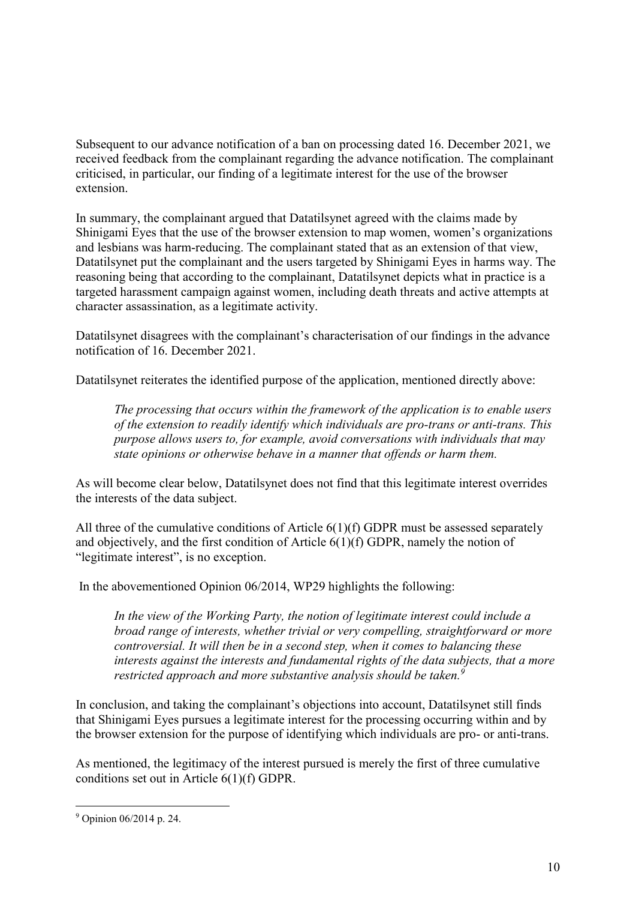Subsequent to our advance notification of a ban on processing dated 16. December 2021, we received feedback from the complainant regarding the advance notification. The complainant criticised, in particular, our finding of a legitimate interest for the use of the browser extension.

In summary, the complainant argued that Datatilsynet agreed with the claims made by Shinigami Eyes that the use of the browser extension to map women, women's organizations and lesbians was harm-reducing. The complainant stated that as an extension of that view, Datatilsynet put the complainant and the users targeted by Shinigami Eyes in harms way. The reasoning being that according to the complainant, Datatilsynet depicts what in practice is a targeted harassment campaign against women, including death threats and active attempts at character assassination, as a legitimate activity.

Datatilsynet disagrees with the complainant's characterisation of our findings in the advance notification of 16. December 2021.

Datatilsynet reiterates the identified purpose of the application, mentioned directly above:

*The processing that occurs within the framework of the application is to enable users of the extension to readily identify which individuals are pro-trans or anti-trans. This purpose allows users to, for example, avoid conversations with individuals that may state opinions or otherwise behave in a manner that offends or harm them.*

As will become clear below, Datatilsynet does not find that this legitimate interest overrides the interests of the data subject.

All three of the cumulative conditions of Article  $6(1)(f)$  GDPR must be assessed separately and objectively, and the first condition of Article 6(1)(f) GDPR, namely the notion of "legitimate interest", is no exception.

In the abovementioned Opinion 06/2014, WP29 highlights the following:

*In the view of the Working Party, the notion of legitimate interest could include a broad range of interests, whether trivial or very compelling, straightforward or more controversial. It will then be in a second step, when it comes to balancing these interests against the interests and fundamental rights of the data subjects, that a more restricted approach and more substantive analysis should be taken.<sup>9</sup>*

In conclusion, and taking the complainant's objections into account, Datatilsynet still finds that Shinigami Eyes pursues a legitimate interest for the processing occurring within and by the browser extension for the purpose of identifying which individuals are pro- or anti-trans.

As mentioned, the legitimacy of the interest pursued is merely the first of three cumulative conditions set out in Article 6(1)(f) GDPR.

<sup>9</sup> Opinion 06/2014 p. 24.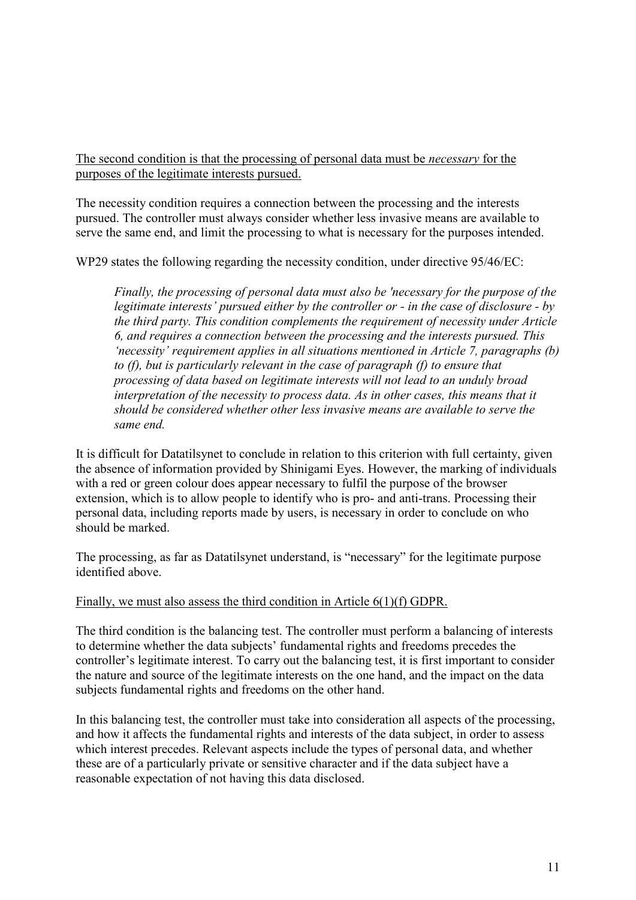The second condition is that the processing of personal data must be *necessary* for the purposes of the legitimate interests pursued.

The necessity condition requires a connection between the processing and the interests pursued. The controller must always consider whether less invasive means are available to serve the same end, and limit the processing to what is necessary for the purposes intended.

WP29 states the following regarding the necessity condition, under directive 95/46/EC:

*Finally, the processing of personal data must also be 'necessary for the purpose of the legitimate interests' pursued either by the controller or - in the case of disclosure - by the third party. This condition complements the requirement of necessity under Article 6, and requires a connection between the processing and the interests pursued. This 'necessity' requirement applies in all situations mentioned in Article 7, paragraphs (b) to (f), but is particularly relevant in the case of paragraph (f) to ensure that processing of data based on legitimate interests will not lead to an unduly broad interpretation of the necessity to process data. As in other cases, this means that it should be considered whether other less invasive means are available to serve the same end.*

It is difficult for Datatilsynet to conclude in relation to this criterion with full certainty, given the absence of information provided by Shinigami Eyes. However, the marking of individuals with a red or green colour does appear necessary to fulfil the purpose of the browser extension, which is to allow people to identify who is pro- and anti-trans. Processing their personal data, including reports made by users, is necessary in order to conclude on who should be marked.

The processing, as far as Datatilsynet understand, is "necessary" for the legitimate purpose identified above.

#### Finally, we must also assess the third condition in Article 6(1)(f) GDPR.

The third condition is the balancing test. The controller must perform a balancing of interests to determine whether the data subjects' fundamental rights and freedoms precedes the controller's legitimate interest. To carry out the balancing test, it is first important to consider the nature and source of the legitimate interests on the one hand, and the impact on the data subjects fundamental rights and freedoms on the other hand.

In this balancing test, the controller must take into consideration all aspects of the processing, and how it affects the fundamental rights and interests of the data subject, in order to assess which interest precedes. Relevant aspects include the types of personal data, and whether these are of a particularly private or sensitive character and if the data subject have a reasonable expectation of not having this data disclosed.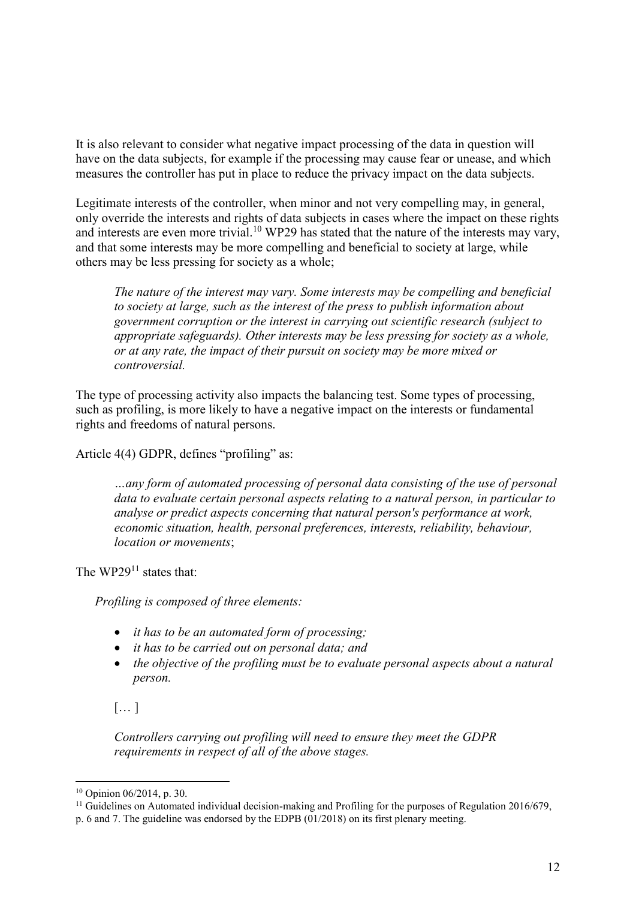It is also relevant to consider what negative impact processing of the data in question will have on the data subjects, for example if the processing may cause fear or unease, and which measures the controller has put in place to reduce the privacy impact on the data subjects.

Legitimate interests of the controller, when minor and not very compelling may, in general, only override the interests and rights of data subjects in cases where the impact on these rights and interests are even more trivial.<sup>10</sup> WP29 has stated that the nature of the interests may vary, and that some interests may be more compelling and beneficial to society at large, while others may be less pressing for society as a whole;

*The nature of the interest may vary. Some interests may be compelling and beneficial to society at large, such as the interest of the press to publish information about government corruption or the interest in carrying out scientific research (subject to appropriate safeguards). Other interests may be less pressing for society as a whole, or at any rate, the impact of their pursuit on society may be more mixed or controversial.* 

The type of processing activity also impacts the balancing test. Some types of processing, such as profiling, is more likely to have a negative impact on the interests or fundamental rights and freedoms of natural persons.

Article 4(4) GDPR, defines "profiling" as:

*…any form of automated processing of personal data consisting of the use of personal data to evaluate certain personal aspects relating to a natural person, in particular to analyse or predict aspects concerning that natural person's performance at work, economic situation, health, personal preferences, interests, reliability, behaviour, location or movements*;

The  $WP29<sup>11</sup>$  states that:

*Profiling is composed of three elements:*

- *it has to be an automated form of processing;*
- *it has to be carried out on personal data; and*
- *the objective of the profiling must be to evaluate personal aspects about a natural person.*

 $[\dots]$ 

*Controllers carrying out profiling will need to ensure they meet the GDPR requirements in respect of all of the above stages.*

<sup>10</sup> Opinion 06/2014, p. 30.

<sup>&</sup>lt;sup>11</sup> Guidelines on Automated individual decision-making and Profiling for the purposes of Regulation 2016/679,

p. 6 and 7. The guideline was endorsed by the EDPB (01/2018) on its first plenary meeting.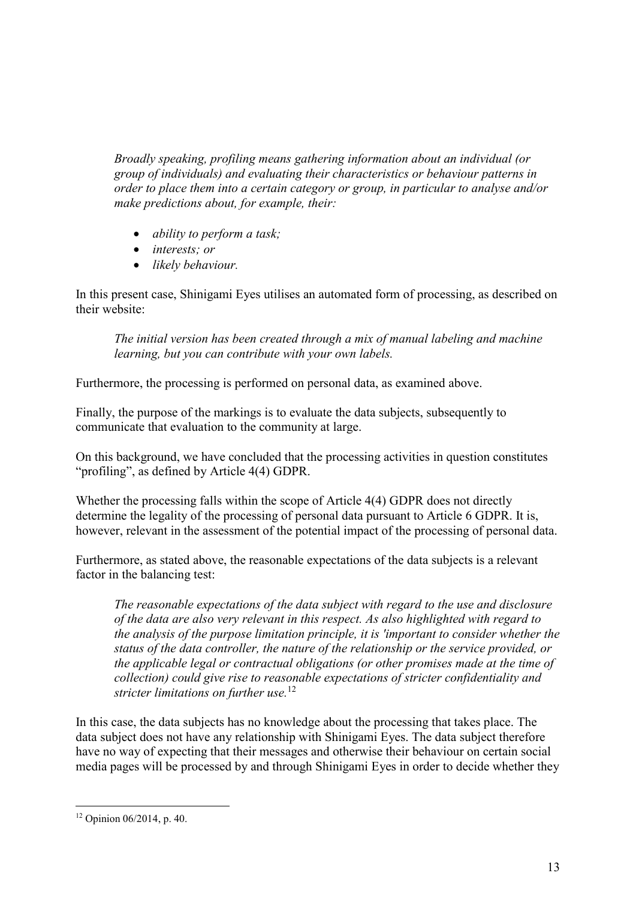*Broadly speaking, profiling means gathering information about an individual (or group of individuals) and evaluating their characteristics or behaviour patterns in order to place them into a certain category or group, in particular to analyse and/or make predictions about, for example, their:*

- *ability to perform a task;*
- *interests; or*
- *likely behaviour.*

In this present case, Shinigami Eyes utilises an automated form of processing, as described on their website:

*The initial version has been created through a mix of manual labeling and machine learning, but you can contribute with your own labels.*

Furthermore, the processing is performed on personal data, as examined above.

Finally, the purpose of the markings is to evaluate the data subjects, subsequently to communicate that evaluation to the community at large.

On this background, we have concluded that the processing activities in question constitutes "profiling", as defined by Article 4(4) GDPR.

Whether the processing falls within the scope of Article 4(4) GDPR does not directly determine the legality of the processing of personal data pursuant to Article 6 GDPR. It is, however, relevant in the assessment of the potential impact of the processing of personal data.

Furthermore, as stated above, the reasonable expectations of the data subjects is a relevant factor in the balancing test:

*The reasonable expectations of the data subject with regard to the use and disclosure of the data are also very relevant in this respect. As also highlighted with regard to the analysis of the purpose limitation principle, it is 'important to consider whether the status of the data controller, the nature of the relationship or the service provided, or the applicable legal or contractual obligations (or other promises made at the time of collection) could give rise to reasonable expectations of stricter confidentiality and stricter limitations on further use.*<sup>12</sup>

In this case, the data subjects has no knowledge about the processing that takes place. The data subject does not have any relationship with Shinigami Eyes. The data subject therefore have no way of expecting that their messages and otherwise their behaviour on certain social media pages will be processed by and through Shinigami Eyes in order to decide whether they

<sup>12</sup> Opinion 06/2014, p. 40.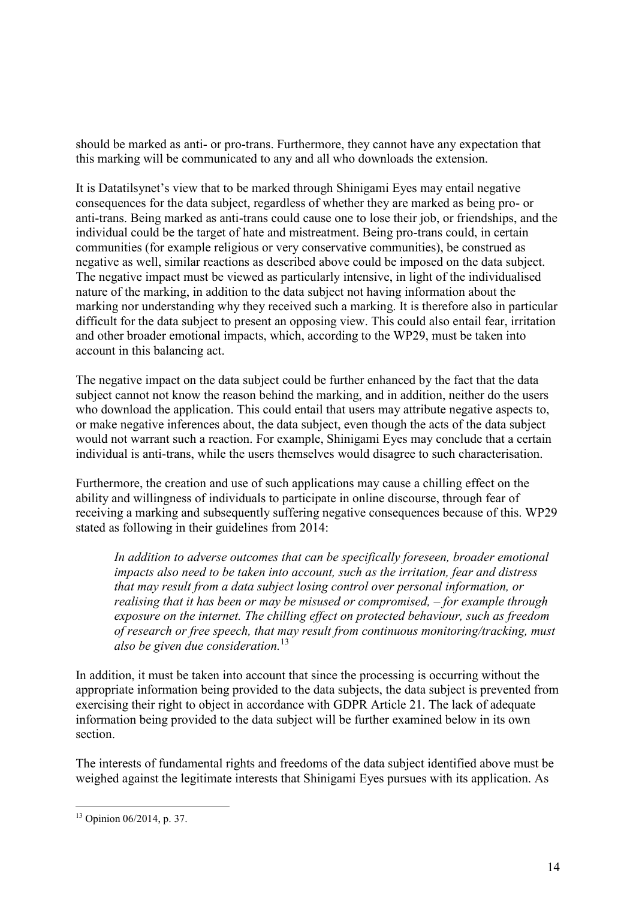should be marked as anti- or pro-trans. Furthermore, they cannot have any expectation that this marking will be communicated to any and all who downloads the extension.

It is Datatilsynet's view that to be marked through Shinigami Eyes may entail negative consequences for the data subject, regardless of whether they are marked as being pro- or anti-trans. Being marked as anti-trans could cause one to lose their job, or friendships, and the individual could be the target of hate and mistreatment. Being pro-trans could, in certain communities (for example religious or very conservative communities), be construed as negative as well, similar reactions as described above could be imposed on the data subject. The negative impact must be viewed as particularly intensive, in light of the individualised nature of the marking, in addition to the data subject not having information about the marking nor understanding why they received such a marking. It is therefore also in particular difficult for the data subject to present an opposing view. This could also entail fear, irritation and other broader emotional impacts, which, according to the WP29, must be taken into account in this balancing act.

The negative impact on the data subject could be further enhanced by the fact that the data subject cannot not know the reason behind the marking, and in addition, neither do the users who download the application. This could entail that users may attribute negative aspects to, or make negative inferences about, the data subject, even though the acts of the data subject would not warrant such a reaction. For example, Shinigami Eyes may conclude that a certain individual is anti-trans, while the users themselves would disagree to such characterisation.

Furthermore, the creation and use of such applications may cause a chilling effect on the ability and willingness of individuals to participate in online discourse, through fear of receiving a marking and subsequently suffering negative consequences because of this. WP29 stated as following in their guidelines from 2014:

*In addition to adverse outcomes that can be specifically foreseen, broader emotional impacts also need to be taken into account, such as the irritation, fear and distress that may result from a data subject losing control over personal information, or realising that it has been or may be misused or compromised, – for example through exposure on the internet. The chilling effect on protected behaviour, such as freedom of research or free speech, that may result from continuous monitoring/tracking, must also be given due consideration.*<sup>13</sup>

In addition, it must be taken into account that since the processing is occurring without the appropriate information being provided to the data subjects, the data subject is prevented from exercising their right to object in accordance with GDPR Article 21. The lack of adequate information being provided to the data subject will be further examined below in its own section.

The interests of fundamental rights and freedoms of the data subject identified above must be weighed against the legitimate interests that Shinigami Eyes pursues with its application. As

<sup>13</sup> Opinion 06/2014, p. 37.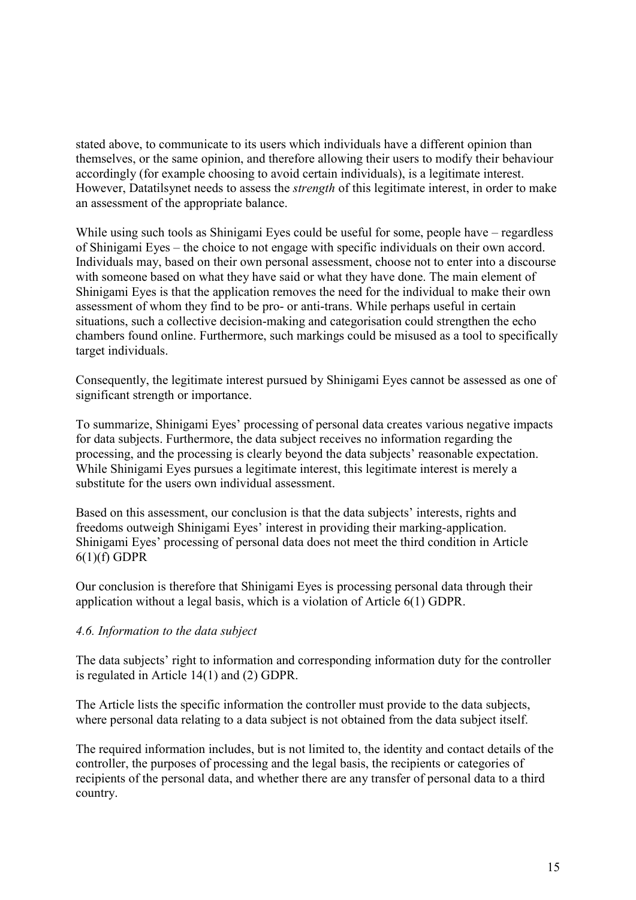stated above, to communicate to its users which individuals have a different opinion than themselves, or the same opinion, and therefore allowing their users to modify their behaviour accordingly (for example choosing to avoid certain individuals), is a legitimate interest. However, Datatilsynet needs to assess the *strength* of this legitimate interest, in order to make an assessment of the appropriate balance.

While using such tools as Shinigami Eyes could be useful for some, people have – regardless of Shinigami Eyes – the choice to not engage with specific individuals on their own accord. Individuals may, based on their own personal assessment, choose not to enter into a discourse with someone based on what they have said or what they have done. The main element of Shinigami Eyes is that the application removes the need for the individual to make their own assessment of whom they find to be pro- or anti-trans. While perhaps useful in certain situations, such a collective decision-making and categorisation could strengthen the echo chambers found online. Furthermore, such markings could be misused as a tool to specifically target individuals.

Consequently, the legitimate interest pursued by Shinigami Eyes cannot be assessed as one of significant strength or importance.

To summarize, Shinigami Eyes' processing of personal data creates various negative impacts for data subjects. Furthermore, the data subject receives no information regarding the processing, and the processing is clearly beyond the data subjects' reasonable expectation. While Shinigami Eyes pursues a legitimate interest, this legitimate interest is merely a substitute for the users own individual assessment.

Based on this assessment, our conclusion is that the data subjects' interests, rights and freedoms outweigh Shinigami Eyes' interest in providing their marking-application. Shinigami Eyes' processing of personal data does not meet the third condition in Article  $6(1)(f)$  GDPR

Our conclusion is therefore that Shinigami Eyes is processing personal data through their application without a legal basis, which is a violation of Article 6(1) GDPR.

#### *4.6. Information to the data subject*

The data subjects' right to information and corresponding information duty for the controller is regulated in Article 14(1) and (2) GDPR.

The Article lists the specific information the controller must provide to the data subjects, where personal data relating to a data subject is not obtained from the data subject itself.

The required information includes, but is not limited to, the identity and contact details of the controller, the purposes of processing and the legal basis, the recipients or categories of recipients of the personal data, and whether there are any transfer of personal data to a third country.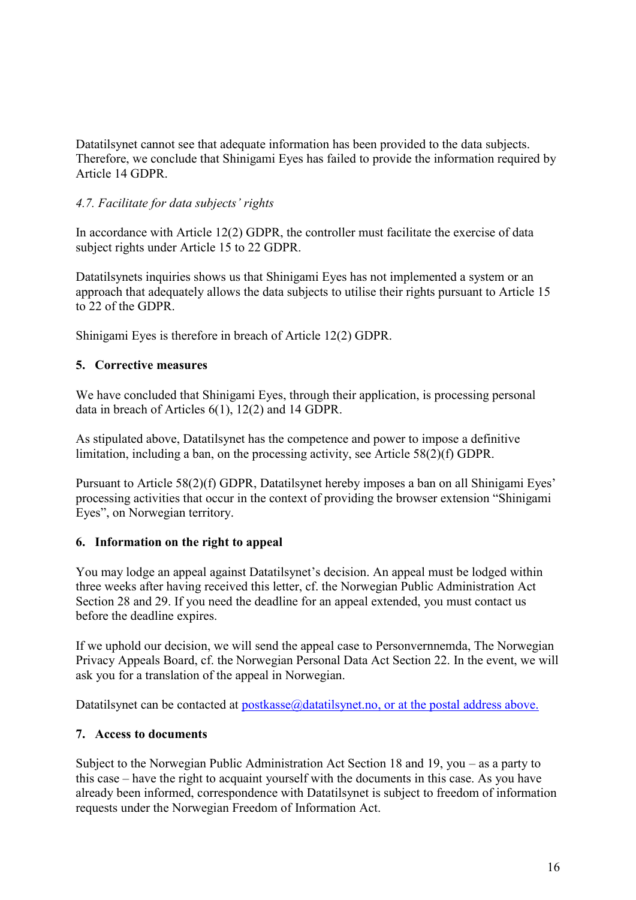Datatilsynet cannot see that adequate information has been provided to the data subjects. Therefore, we conclude that Shinigami Eyes has failed to provide the information required by Article 14 GDPR.

## *4.7. Facilitate for data subjects' rights*

In accordance with Article 12(2) GDPR, the controller must facilitate the exercise of data subject rights under Article 15 to 22 GDPR.

Datatilsynets inquiries shows us that Shinigami Eyes has not implemented a system or an approach that adequately allows the data subjects to utilise their rights pursuant to Article 15 to 22 of the GDPR.

Shinigami Eyes is therefore in breach of Article 12(2) GDPR.

## **5. Corrective measures**

We have concluded that Shinigami Eyes, through their application, is processing personal data in breach of Articles 6(1), 12(2) and 14 GDPR.

As stipulated above, Datatilsynet has the competence and power to impose a definitive limitation, including a ban, on the processing activity, see Article 58(2)(f) GDPR.

Pursuant to Article 58(2)(f) GDPR, Datatilsynet hereby imposes a ban on all Shinigami Eyes' processing activities that occur in the context of providing the browser extension "Shinigami Eyes", on Norwegian territory.

## **6. Information on the right to appeal**

You may lodge an appeal against Datatilsynet's decision. An appeal must be lodged within three weeks after having received this letter, cf. the Norwegian Public Administration Act Section 28 and 29. If you need the deadline for an appeal extended, you must contact us before the deadline expires.

If we uphold our decision, we will send the appeal case to Personvernnemda, The Norwegian Privacy Appeals Board, cf. the Norwegian Personal Data Act Section 22. In the event, we will ask you for a translation of the appeal in Norwegian.

Datatilsynet can be contacted at  $postlasse@datatilsynet.no$ , or at the postal address above.

## **7. Access to documents**

Subject to the Norwegian Public Administration Act Section 18 and 19, you – as a party to this case – have the right to acquaint yourself with the documents in this case. As you have already been informed, correspondence with Datatilsynet is subject to freedom of information requests under the Norwegian Freedom of Information Act.